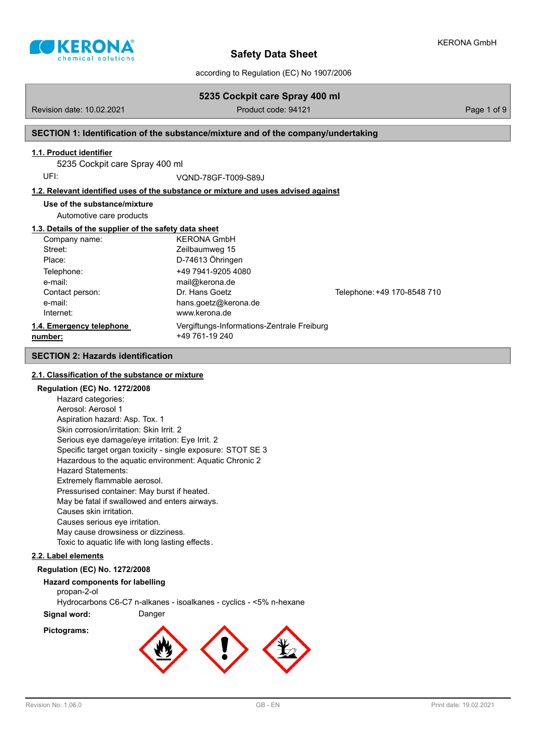

according to Regulation (EC) No 1907/2006

**5235 Cockpit care Spray 400 ml**

| Revision date: 10.02.2021                             | Product code: 94121                                                                |                             | Page 1 of 9 |
|-------------------------------------------------------|------------------------------------------------------------------------------------|-----------------------------|-------------|
|                                                       | SECTION 1: Identification of the substance/mixture and of the company/undertaking  |                             |             |
| 1.1. Product identifier                               |                                                                                    |                             |             |
| 5235 Cockpit care Spray 400 ml                        |                                                                                    |                             |             |
| UFI:                                                  | VOND-78GF-T009-S89J                                                                |                             |             |
|                                                       | 1.2. Relevant identified uses of the substance or mixture and uses advised against |                             |             |
| Use of the substance/mixture                          |                                                                                    |                             |             |
| Automotive care products                              |                                                                                    |                             |             |
| 1.3. Details of the supplier of the safety data sheet |                                                                                    |                             |             |
| Company name:                                         | <b>KFRONA GmbH</b>                                                                 |                             |             |
| Street:                                               | Zeilbaumweg 15                                                                     |                             |             |
| Place:                                                | D-74613 Öhringen                                                                   |                             |             |
| Telephone:                                            | +49 7941-9205 4080                                                                 |                             |             |
| e-mail:                                               | mail@kerona.de                                                                     |                             |             |
| Contact person:                                       | Dr. Hans Goetz                                                                     | Telephone: +49 170-8548 710 |             |
| e-mail:                                               | hans.goetz@kerona.de                                                               |                             |             |
| Internet:                                             | www.kerona.de                                                                      |                             |             |
| 1.4. Emergency telephone                              | Vergiftungs-Informations-Zentrale Freiburg                                         |                             |             |
| number:                                               | +49 761-19 240                                                                     |                             |             |
| <b>SECTION 2: Hazards identification</b>              |                                                                                    |                             |             |
|                                                       |                                                                                    |                             |             |

## **2.1. Classification of the substance or mixture**

#### **Regulation (EC) No. 1272/2008**

Hazard categories: Aerosol: Aerosol 1 Aspiration hazard: Asp. Tox. 1 Skin corrosion/irritation: Skin Irrit. 2 Serious eye damage/eye irritation: Eye Irrit. 2 Specific target organ toxicity - single exposure: STOT SE 3 Hazardous to the aquatic environment: Aquatic Chronic 2 Hazard Statements: Extremely flammable aerosol. Pressurised container: May burst if heated. May be fatal if swallowed and enters airways. Causes skin irritation. Causes serious eye irritation. May cause drowsiness or dizziness. Toxic to aquatic life with long lasting effects.

#### **2.2. Label elements**

## **Regulation (EC) No. 1272/2008**

#### **Hazard components for labelling**

propan-2-ol

Hydrocarbons C6-C7 n-alkanes - isoalkanes - cyclics - <5% n-hexane

**Signal word:** Danger

### **Pictograms:**

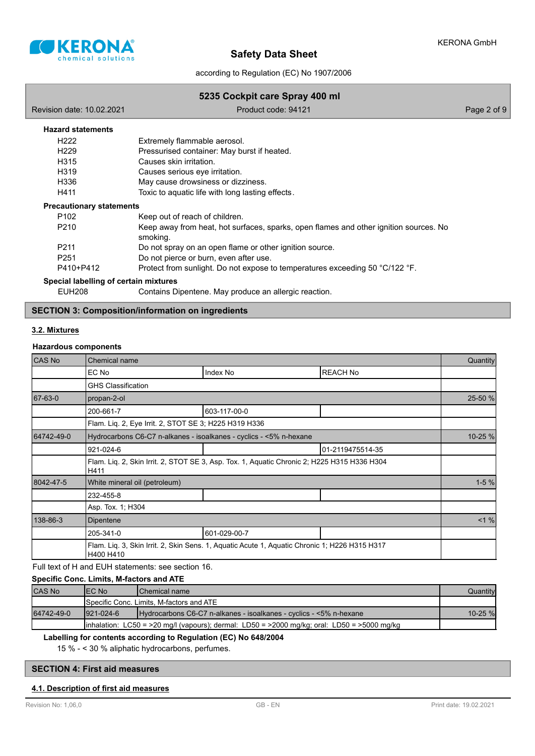

according to Regulation (EC) No 1907/2006

#### **5235 Cockpit care Spray 400 ml**

| Revision date: 10.02.2021             | Product code: 94121                                                                               | Page 2 of 9 |
|---------------------------------------|---------------------------------------------------------------------------------------------------|-------------|
| <b>Hazard statements</b>              |                                                                                                   |             |
| H222                                  | Extremely flammable aerosol.                                                                      |             |
| H <sub>229</sub>                      | Pressurised container: May burst if heated.                                                       |             |
| H315                                  | Causes skin irritation.                                                                           |             |
| H319                                  | Causes serious eye irritation.                                                                    |             |
| H336                                  | May cause drowsiness or dizziness.                                                                |             |
| H411                                  | Toxic to aquatic life with long lasting effects.                                                  |             |
| <b>Precautionary statements</b>       |                                                                                                   |             |
| P <sub>102</sub>                      | Keep out of reach of children.                                                                    |             |
| P210                                  | Keep away from heat, hot surfaces, sparks, open flames and other ignition sources. No<br>smoking. |             |
| P <sub>211</sub>                      | Do not spray on an open flame or other ignition source.                                           |             |
| P <sub>251</sub>                      | Do not pierce or burn, even after use.                                                            |             |
| P410+P412                             | Protect from sunlight. Do not expose to temperatures exceeding 50 °C/122 °F.                      |             |
| Special labelling of certain mixtures |                                                                                                   |             |
| <b>EUH208</b>                         | Contains Dipentene. May produce an allergic reaction.                                             |             |

## **SECTION 3: Composition/information on ingredients**

#### **3.2. Mixtures**

#### **Hazardous components**

| CAS No     | Chemical name                                                                                              |                                                       |                  |          |
|------------|------------------------------------------------------------------------------------------------------------|-------------------------------------------------------|------------------|----------|
|            | EC No                                                                                                      | Index No                                              | <b>REACH No</b>  |          |
|            | <b>GHS Classification</b>                                                                                  |                                                       |                  |          |
| 67-63-0    | propan-2-ol                                                                                                |                                                       |                  | 25-50 %  |
|            | 200-661-7                                                                                                  | 603-117-00-0                                          |                  |          |
|            |                                                                                                            | Flam. Lig. 2, Eye Irrit. 2, STOT SE 3; H225 H319 H336 |                  |          |
| 64742-49-0 | Hydrocarbons C6-C7 n-alkanes - isoalkanes - cyclics - <5% n-hexane                                         |                                                       |                  | 10-25 %  |
|            | 921-024-6                                                                                                  |                                                       | 01-2119475514-35 |          |
|            | Flam. Liq. 2, Skin Irrit. 2, STOT SE 3, Asp. Tox. 1, Aquatic Chronic 2; H225 H315 H336 H304<br>H411        |                                                       |                  |          |
| 8042-47-5  | White mineral oil (petroleum)                                                                              |                                                       |                  | $1 - 5%$ |
|            | 232-455-8                                                                                                  |                                                       |                  |          |
|            | Asp. Tox. 1; H304                                                                                          |                                                       |                  |          |
| 138-86-3   | Dipentene                                                                                                  |                                                       |                  | $< 1 \%$ |
|            | 205-341-0                                                                                                  | 601-029-00-7                                          |                  |          |
|            | Flam. Liq. 3, Skin Irrit. 2, Skin Sens. 1, Aquatic Acute 1, Aquatic Chronic 1; H226 H315 H317<br>H400 H410 |                                                       |                  |          |

## Full text of H and EUH statements: see section 16.

#### **Specific Conc. Limits, M-factors and ATE**

| CAS No     | IEC No                                                                                                | <b>IChemical name</b>                                              | Quantity    |
|------------|-------------------------------------------------------------------------------------------------------|--------------------------------------------------------------------|-------------|
|            | Specific Conc. Limits, M-factors and ATE                                                              |                                                                    |             |
| 64742-49-0 | $1921 - 024 - 6$                                                                                      | Hydrocarbons C6-C7 n-alkanes - isoalkanes - cyclics - <5% n-hexane | $10 - 25$ % |
|            | $\lambda$ inhalation: LC50 = >20 mg/l (vapours); dermal: LD50 = >2000 mg/kg; oral: LD50 = >5000 mg/kg |                                                                    |             |

## **Labelling for contents according to Regulation (EC) No 648/2004**

15 % - < 30 % aliphatic hydrocarbons, perfumes.

## **SECTION 4: First aid measures**

## **4.1. Description of first aid measures**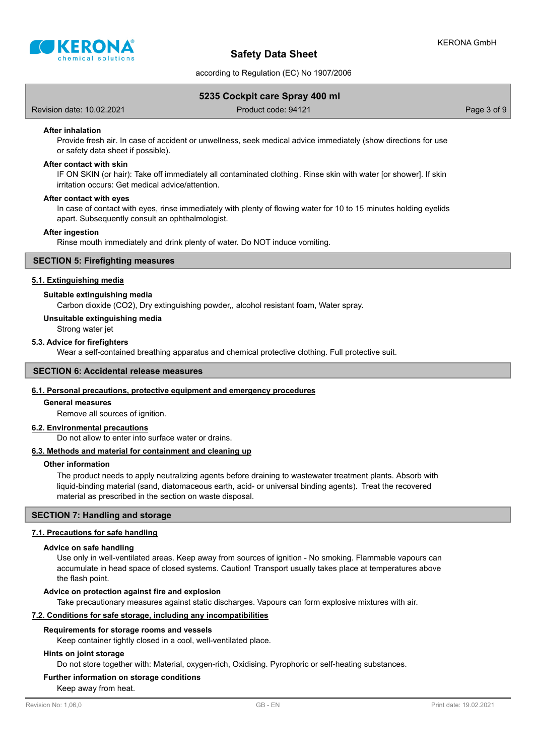

according to Regulation (EC) No 1907/2006

## **5235 Cockpit care Spray 400 ml**

Revision date: 10.02.2021 Product code: 94121 Product code: 94121

#### **After inhalation**

Provide fresh air. In case of accident or unwellness, seek medical advice immediately (show directions for use or safety data sheet if possible).

#### **After contact with skin**

IF ON SKIN (or hair): Take off immediately all contaminated clothing. Rinse skin with water [or shower]. If skin irritation occurs: Get medical advice/attention.

#### **After contact with eyes**

In case of contact with eyes, rinse immediately with plenty of flowing water for 10 to 15 minutes holding eyelids apart. Subsequently consult an ophthalmologist.

#### **After ingestion**

Rinse mouth immediately and drink plenty of water. Do NOT induce vomiting.

#### **SECTION 5: Firefighting measures**

#### **5.1. Extinguishing media**

#### **Suitable extinguishing media**

Carbon dioxide (CO2), Dry extinguishing powder,, alcohol resistant foam, Water spray.

#### **Unsuitable extinguishing media**

Strong water jet

## **5.3. Advice for firefighters**

Wear a self-contained breathing apparatus and chemical protective clothing. Full protective suit.

#### **SECTION 6: Accidental release measures**

#### **6.1. Personal precautions, protective equipment and emergency procedures**

#### **General measures**

Remove all sources of ignition.

#### **6.2. Environmental precautions**

Do not allow to enter into surface water or drains.

## **6.3. Methods and material for containment and cleaning up**

#### **Other information**

The product needs to apply neutralizing agents before draining to wastewater treatment plants. Absorb with liquid-binding material (sand, diatomaceous earth, acid- or universal binding agents). Treat the recovered material as prescribed in the section on waste disposal.

## **SECTION 7: Handling and storage**

#### **7.1. Precautions for safe handling**

#### **Advice on safe handling**

Use only in well-ventilated areas. Keep away from sources of ignition - No smoking. Flammable vapours can accumulate in head space of closed systems. Caution! Transport usually takes place at temperatures above the flash point.

#### **Advice on protection against fire and explosion**

Take precautionary measures against static discharges. Vapours can form explosive mixtures with air.

#### **7.2. Conditions for safe storage, including any incompatibilities**

#### **Requirements for storage rooms and vessels**

Keep container tightly closed in a cool, well-ventilated place.

#### **Hints on joint storage**

Do not store together with: Material, oxygen-rich, Oxidising. Pyrophoric or self-heating substances.

## **Further information on storage conditions**

Keep away from heat.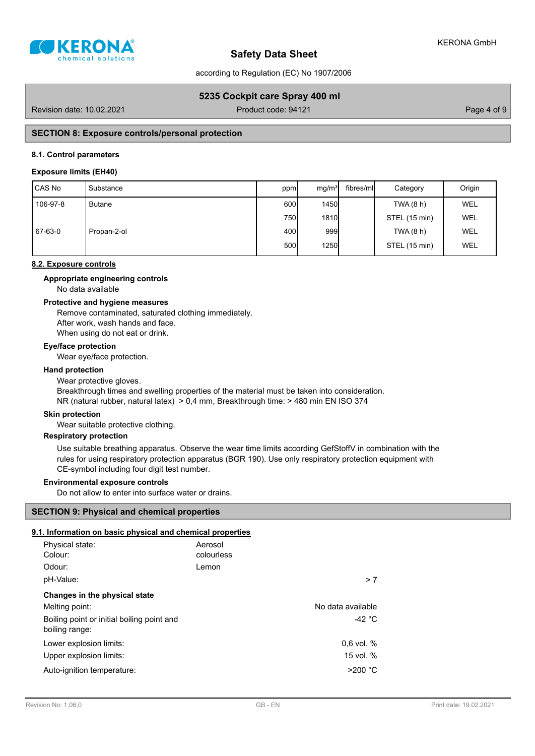

according to Regulation (EC) No 1907/2006

## **5235 Cockpit care Spray 400 ml**

Revision date: 10.02.2021 **Product code: 94121** Product code: 94121 Page 4 of 9

## **SECTION 8: Exposure controls/personal protection**

### **8.1. Control parameters**

### **Exposure limits (EH40)**

| CAS No   | Substance   | ppm  | mq/m <sup>3</sup> | fibres/mll | Category      | Origin     |
|----------|-------------|------|-------------------|------------|---------------|------------|
| 106-97-8 | Butane      | 600l | 1450              |            | TWA (8 h)     | <b>WEL</b> |
|          |             | 750I | <b>1810</b>       |            | STEL (15 min) | <b>WEL</b> |
| 67-63-0  | Propan-2-ol | 400l | 999               |            | TWA (8 h)     | <b>WEL</b> |
|          |             | 500  | <b>1250</b>       |            | STEL (15 min) | <b>WEL</b> |

#### **8.2. Exposure controls**

#### No data available **Appropriate engineering controls**

#### **Protective and hygiene measures**

Remove contaminated, saturated clothing immediately. After work, wash hands and face. When using do not eat or drink.

**Eye/face protection**

Wear eye/face protection.

#### **Hand protection**

Wear protective gloves. Breakthrough times and swelling properties of the material must be taken into consideration. NR (natural rubber, natural latex) > 0,4 mm, Breakthrough time: > 480 min EN ISO 374

#### **Skin protection**

Wear suitable protective clothing.

## **Respiratory protection**

Use suitable breathing apparatus. Observe the wear time limits according GefStoffV in combination with the rules for using respiratory protection apparatus (BGR 190). Use only respiratory protection equipment with CE-symbol including four digit test number.

## **Environmental exposure controls**

Do not allow to enter into surface water or drains.

#### **SECTION 9: Physical and chemical properties**

## **9.1. Information on basic physical and chemical properties**

| Physical state:<br>Colour:                                   | Aerosol<br>colourless |                   |
|--------------------------------------------------------------|-----------------------|-------------------|
| Odour:                                                       | Lemon                 |                   |
| pH-Value:                                                    |                       | > 7               |
| Changes in the physical state                                |                       |                   |
| Melting point:                                               |                       | No data available |
| Boiling point or initial boiling point and<br>boiling range: |                       | -42 $^{\circ}$ C  |
| Lower explosion limits:                                      |                       | $0.6$ vol. $%$    |
| Upper explosion limits:                                      |                       | 15 vol. %         |
| Auto-ignition temperature:                                   |                       | >200 °C           |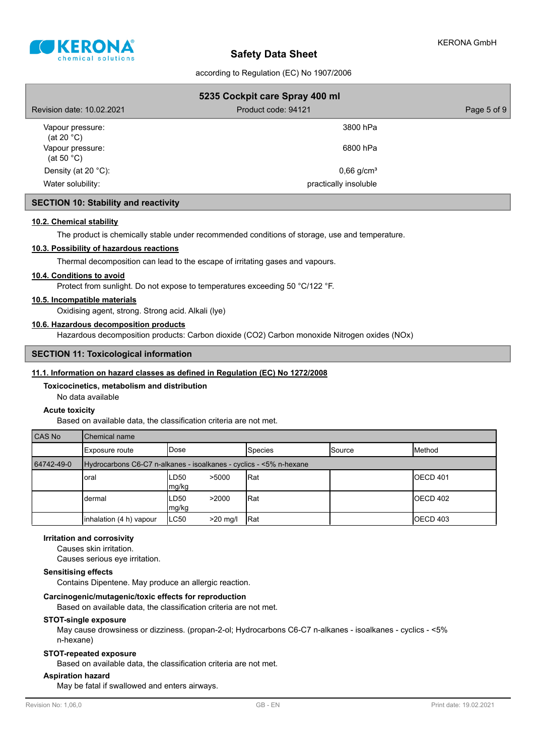

according to Regulation (EC) No 1907/2006

| 5235 Cockpit care Spray 400 ml           |                          |             |
|------------------------------------------|--------------------------|-------------|
| Revision date: 10.02.2021                | Product code: 94121      | Page 5 of 9 |
| Vapour pressure:<br>(at 20 $^{\circ}$ C) | 3800 hPa                 |             |
| Vapour pressure:<br>(at 50 $^{\circ}$ C) | 6800 hPa                 |             |
| Density (at 20 $°C$ ):                   | $0,66$ g/cm <sup>3</sup> |             |
| Water solubility:                        | practically insoluble    |             |

## **SECTION 10: Stability and reactivity**

## **10.2. Chemical stability**

The product is chemically stable under recommended conditions of storage, use and temperature.

#### **10.3. Possibility of hazardous reactions**

Thermal decomposition can lead to the escape of irritating gases and vapours.

## **10.4. Conditions to avoid**

Protect from sunlight. Do not expose to temperatures exceeding 50 °C/122 °F.

#### **10.5. Incompatible materials**

Oxidising agent, strong. Strong acid. Alkali (lye)

## **10.6. Hazardous decomposition products**

Hazardous decomposition products: Carbon dioxide (CO2) Carbon monoxide Nitrogen oxides (NOx)

## **SECTION 11: Toxicological information**

#### **11.1. Information on hazard classes as defined in Regulation (EC) No 1272/2008**

#### **Toxicocinetics, metabolism and distribution**

No data available

#### **Acute toxicity**

Based on available data, the classification criteria are not met.

| CAS No     | Chemical name                                                      |                        |                |               |                  |
|------------|--------------------------------------------------------------------|------------------------|----------------|---------------|------------------|
|            | Exposure route                                                     | IDose                  | <b>Species</b> | <b>Source</b> | Method           |
| 64742-49-0 | Hydrocarbons C6-C7 n-alkanes - isoalkanes - cyclics - <5% n-hexane |                        |                |               |                  |
|            | loral                                                              | LD50<br>>5000<br>mg/kg | Rat            |               | <b>IOECD 401</b> |
|            | dermal                                                             | LD50<br>>2000<br>mg/kg | Rat            |               | <b>IOECD 402</b> |
|            | inhalation (4 h) vapour                                            | LC50<br>$>20$ mg/      | Rat            |               | <b>IOECD 403</b> |

## **Irritation and corrosivity**

Causes skin irritation.

Causes serious eye irritation.

## **Sensitising effects**

Contains Dipentene. May produce an allergic reaction.

## **Carcinogenic/mutagenic/toxic effects for reproduction**

Based on available data, the classification criteria are not met.

#### **STOT-single exposure**

May cause drowsiness or dizziness. (propan-2-ol; Hydrocarbons C6-C7 n-alkanes - isoalkanes - cyclics - <5% n-hexane)

#### **STOT-repeated exposure**

Based on available data, the classification criteria are not met.

#### **Aspiration hazard**

May be fatal if swallowed and enters airways.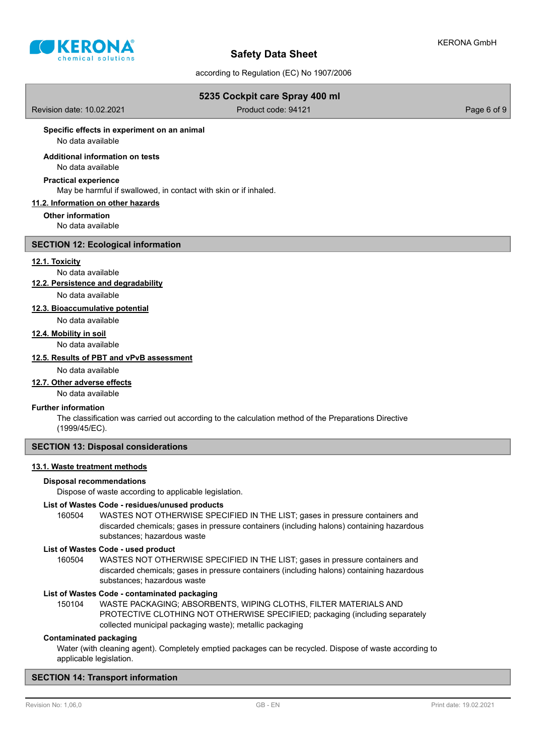

according to Regulation (EC) No 1907/2006

## **5235 Cockpit care Spray 400 ml**

Revision date: 10.02.2021 **Product code: 94121** Product code: 94121 **Page 6 of 9** 

#### **Specific effects in experiment on an animal**

No data available

#### No data available **Additional information on tests**

# **Practical experience**

May be harmful if swallowed, in contact with skin or if inhaled.

## **11.2. Information on other hazards**

**Other information** No data available

#### **SECTION 12: Ecological information**

#### **12.1. Toxicity**

No data available

**12.2. Persistence and degradability**

No data available

## **12.3. Bioaccumulative potential**

No data available

## **12.4. Mobility in soil**

No data available

## **12.5. Results of PBT and vPvB assessment**

No data available

## **12.7. Other adverse effects**

No data available

## **Further information**

The classification was carried out according to the calculation method of the Preparations Directive (1999/45/EC).

## **SECTION 13: Disposal considerations**

## **13.1. Waste treatment methods**

#### **Disposal recommendations**

Dispose of waste according to applicable legislation.

#### **List of Wastes Code - residues/unused products**

160504 WASTES NOT OTHERWISE SPECIFIED IN THE LIST; gases in pressure containers and discarded chemicals; gases in pressure containers (including halons) containing hazardous substances; hazardous waste

#### **List of Wastes Code - used product**

WASTES NOT OTHERWISE SPECIFIED IN THE LIST; gases in pressure containers and discarded chemicals; gases in pressure containers (including halons) containing hazardous substances; hazardous waste 160504

#### **List of Wastes Code - contaminated packaging**

WASTE PACKAGING; ABSORBENTS, WIPING CLOTHS, FILTER MATERIALS AND PROTECTIVE CLOTHING NOT OTHERWISE SPECIFIED; packaging (including separately collected municipal packaging waste); metallic packaging 150104

### **Contaminated packaging**

Water (with cleaning agent). Completely emptied packages can be recycled. Dispose of waste according to applicable legislation.

#### **SECTION 14: Transport information**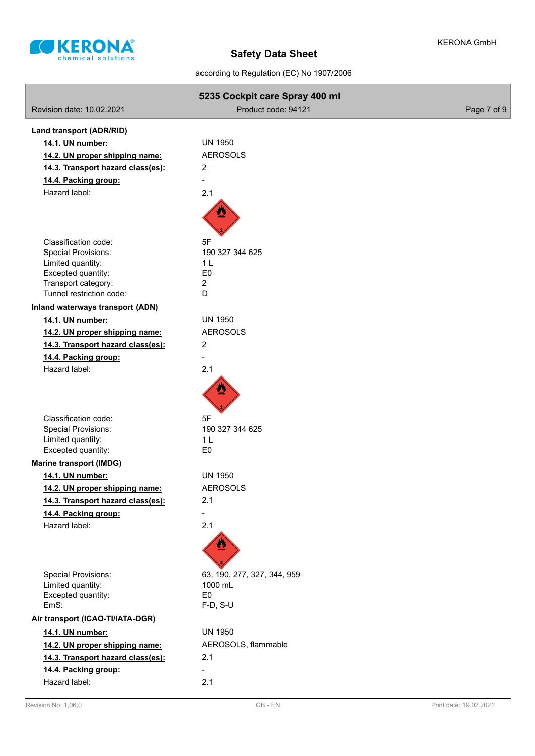

according to Regulation (EC) No 1907/2006

|                                                           | 5235 Cockpit care Spray 400 ml   |             |
|-----------------------------------------------------------|----------------------------------|-------------|
| Revision date: 10.02.2021                                 | Product code: 94121              | Page 7 of 9 |
| Land transport (ADR/RID)                                  |                                  |             |
| 14.1. UN number:                                          | <b>UN 1950</b>                   |             |
| 14.2. UN proper shipping name:                            | <b>AEROSOLS</b>                  |             |
| 14.3. Transport hazard class(es):                         | $\overline{c}$                   |             |
| 14.4. Packing group:                                      |                                  |             |
| Hazard label:                                             | 2.1                              |             |
|                                                           |                                  |             |
|                                                           |                                  |             |
| Classification code:                                      | 5F                               |             |
| <b>Special Provisions:</b>                                | 190 327 344 625                  |             |
| Limited quantity:<br>Excepted quantity:                   | 1 <sub>L</sub><br>E <sub>0</sub> |             |
| Transport category:                                       | $\overline{c}$                   |             |
| Tunnel restriction code:                                  | D                                |             |
| Inland waterways transport (ADN)                          |                                  |             |
| 14.1. UN number:                                          | <b>UN 1950</b>                   |             |
| 14.2. UN proper shipping name:                            | <b>AEROSOLS</b>                  |             |
| 14.3. Transport hazard class(es):                         | 2                                |             |
| 14.4. Packing group:                                      |                                  |             |
| Hazard label:                                             | 2.1                              |             |
|                                                           |                                  |             |
| Classification code:                                      | 5F                               |             |
| <b>Special Provisions:</b>                                | 190 327 344 625                  |             |
| Limited quantity:                                         | 1 <sub>L</sub>                   |             |
| Excepted quantity:                                        | E <sub>0</sub>                   |             |
| <b>Marine transport (IMDG)</b><br>14.1. UN number:        | <b>UN 1950</b>                   |             |
| 14.2. UN proper shipping name:                            | <b>AEROSOLS</b>                  |             |
|                                                           | 2.1                              |             |
| 14.3. Transport hazard class(es):<br>14.4. Packing group: |                                  |             |
| Hazard label:                                             | 2.1                              |             |
|                                                           |                                  |             |
| <b>Special Provisions:</b>                                | 63, 190, 277, 327, 344, 959      |             |
| Limited quantity:                                         | 1000 mL                          |             |
| Excepted quantity:                                        | E <sub>0</sub>                   |             |
| EmS:                                                      | F-D, S-U                         |             |
| Air transport (ICAO-TI/IATA-DGR)                          |                                  |             |
| 14.1. UN number:                                          | <b>UN 1950</b>                   |             |
| 14.2. UN proper shipping name:                            | AEROSOLS, flammable              |             |
| 14.3. Transport hazard class(es):                         | 2.1                              |             |
| 14.4. Packing group:                                      |                                  |             |
| Hazard label:                                             | 2.1                              |             |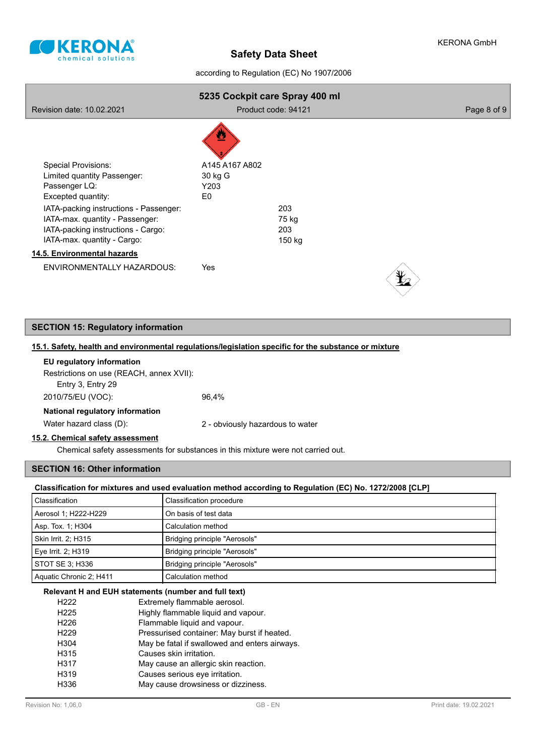

according to Regulation (EC) No 1907/2006

| Revision date: 10.02.2021                                                                                                                                                     | 5235 Cockpit care Spray 400 ml          | Product code: 94121 | Page 8 of 9 |
|-------------------------------------------------------------------------------------------------------------------------------------------------------------------------------|-----------------------------------------|---------------------|-------------|
| <b>Special Provisions:</b><br>Limited quantity Passenger:<br>Passenger LQ:<br>Excepted quantity:<br>IATA-packing instructions - Passenger:<br>IATA-max. quantity - Passenger: | A145 A167 A802<br>30 kg G<br>Y203<br>E0 | 203<br>75 kg        |             |
| IATA-packing instructions - Cargo:<br>IATA-max. quantity - Cargo:                                                                                                             |                                         | 203<br>150 kg       |             |
| 14.5. Environmental hazards                                                                                                                                                   |                                         |                     |             |
| ENVIRONMENTALLY HAZARDOUS:                                                                                                                                                    | Yes                                     |                     |             |

## **SECTION 15: Regulatory information**

## **15.1. Safety, health and environmental regulations/legislation specific for the substance or mixture**

| EU regulatory information                |       |
|------------------------------------------|-------|
| Restrictions on use (REACH, annex XVII): |       |
| Entry 3, Entry 29                        |       |
| 2010/75/EU (VOC):                        | 96.4% |
| National regulatory information          |       |
|                                          |       |

Water hazard class (D): <br>2 - obviously hazardous to water

## **15.2. Chemical safety assessment**

Chemical safety assessments for substances in this mixture were not carried out.

## **SECTION 16: Other information**

## **Classification for mixtures and used evaluation method according to Regulation (EC) No. 1272/2008 [CLP]**

| Classification          | Classification procedure      |
|-------------------------|-------------------------------|
| Aerosol 1; H222-H229    | On basis of test data         |
| Asp. Tox. 1; H304       | Calculation method            |
| Skin Irrit. 2: H315     | Bridging principle "Aerosols" |
| Eye Irrit. 2; H319      | Bridging principle "Aerosols" |
| STOT SE 3: H336         | Bridging principle "Aerosols" |
| Aquatic Chronic 2: H411 | Calculation method            |

#### **Relevant H and EUH statements (number and full text)**

| H <sub>222</sub> | Extremely flammable aerosol.                  |
|------------------|-----------------------------------------------|
| H <sub>225</sub> | Highly flammable liquid and vapour.           |
| H <sub>226</sub> | Flammable liquid and vapour.                  |
| H <sub>229</sub> | Pressurised container: May burst if heated.   |
| H304             | May be fatal if swallowed and enters airways. |
| H315             | Causes skin irritation.                       |
| H317             | May cause an allergic skin reaction.          |
| H319             | Causes serious eye irritation.                |
| H336             | May cause drowsiness or dizziness.            |